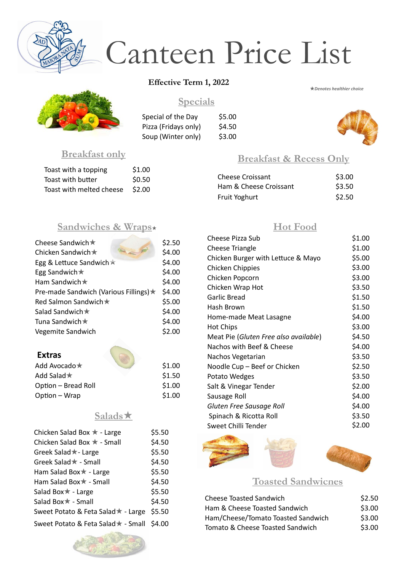## **Breakfast & Recess Only**

| <b>Cheese Croissant</b> | \$3.00 |
|-------------------------|--------|
| Ham & Cheese Croissant  | \$3.50 |
| <b>Fruit Yoghurt</b>    | \$2.50 |

## **Breakfast only**

| Toast with a topping     | \$1.00 |
|--------------------------|--------|
| Toast with butter        | \$0.50 |
| Toast with melted cheese | \$2.00 |

## **Sandwiches & Wraps**

| Cheese Sandwich ★                      | \$2.50 |
|----------------------------------------|--------|
| Chicken Sandwich ★                     | \$4.00 |
| Egg & Lettuce Sandwich $\star$         | \$4.00 |
| Egg Sandwich $\star$                   | \$4.00 |
| Ham Sandwich $\star$                   | \$4.00 |
| Pre-made Sandwich (Various Fillings) ★ | \$4.00 |
| Red Salmon Sandwich ★                  | \$5.00 |
| Salad Sandwich ★                       | \$4.00 |
| Tuna Sandwich $\star$                  | \$4.00 |
| <b>Vegemite Sandwich</b>               | \$2.00 |
|                                        |        |

| <b>Extras</b>       |        |
|---------------------|--------|
| Add Avocado $\star$ | \$1.00 |
| Add Salad $\star$   | \$1.50 |
| Option - Bread Roll | \$1.00 |
| Option – Wrap       | \$1.00 |

#### **Toasted Sandwiches**

| <b>Cheese Toasted Sandwich</b>     | \$2.50 |
|------------------------------------|--------|
| Ham & Cheese Toasted Sandwich      | \$3.00 |
| Ham/Cheese/Tomato Toasted Sandwich | \$3.00 |
| Tomato & Cheese Toasted Sandwich   | \$3.00 |

## **Specials**

Special of the Day \$5.00 Pizza (Fridays only) \$4.50 Soup (Winter only) \$3.00

## **Salads**



# Canteen Price List

*Denotes healthier choice*

## **Hot Food**

| <b>Cheese Pizza Sub</b>               | \$1.00 |
|---------------------------------------|--------|
| <b>Cheese Triangle</b>                | \$1.00 |
| Chicken Burger with Lettuce & Mayo    | \$5.00 |
| <b>Chicken Chippies</b>               | \$3.00 |
| Chicken Popcorn                       | \$3.00 |
| Chicken Wrap Hot                      | \$3.50 |
| <b>Garlic Bread</b>                   | \$1.50 |
| Hash Brown                            | \$1.50 |
| Home-made Meat Lasagne                | \$4.00 |
| <b>Hot Chips</b>                      | \$3.00 |
| Meat Pie (Gluten Free also available) | \$4.50 |
| Nachos with Beef & Cheese             | \$4.00 |
| Nachos Vegetarian                     | \$3.50 |
| Noodle Cup - Beef or Chicken          | \$2.50 |
| Potato Wedges                         | \$3.50 |
| Salt & Vinegar Tender                 | \$2.00 |
| Sausage Roll                          | \$4.00 |
| Gluten Free Sausage Roll              | \$4.00 |
| Spinach & Ricotta Roll                | \$3.50 |
| <b>Sweet Chilli Tender</b>            | \$2.00 |

Chicken Salad Box  $\star$  - Large \$5.50 Chicken Salad Box  $\star$  - Small \$4.50 Greek Salad<sup>\*</sup>- Large \$5.50 Greek Salad  $\star$  - Small  $$4.50$ Ham Salad Box \* - Large \$5.50 Ham Salad Box  $\star$  - Small \$4.50  $Salad Box \star - Large$  $Salad Box \star - Small$  \$4.50 Sweet Potato & Feta Salad  $\star$  - Large \$5.50 Sweet Potato & Feta Salad + - Small \$4.00





#### **Effective Term 1, 2022**